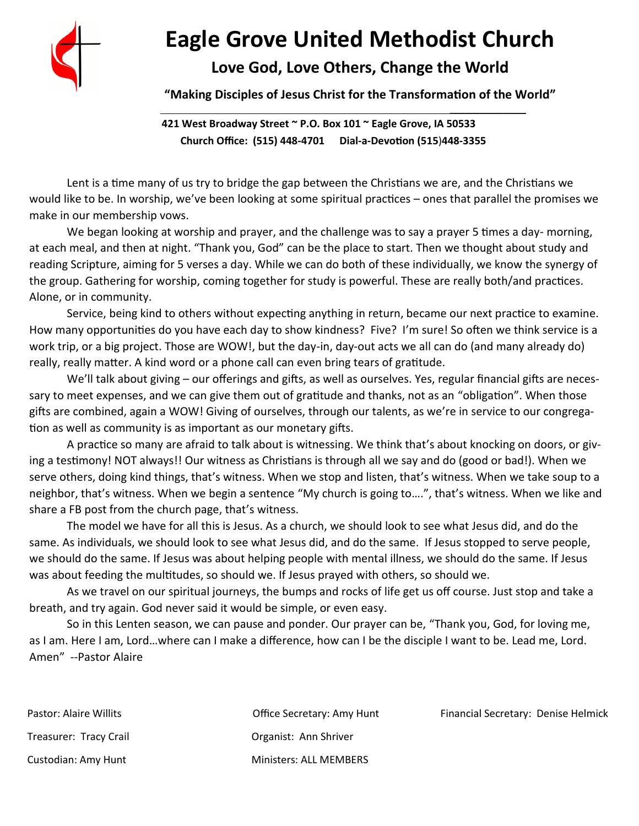

# **Eagle Grove United Methodist Church**

### **Love God, Love Others, Change the World**

**"Making Disciples of Jesus Christ for the Transformation of the World"**

**421 West Broadway Street ~ P.O. Box 101 ~ Eagle Grove, IA 50533 Church Office: (515) 448-4701 Dial-a-Devotion (515**)**448-3355**

 **\_\_\_\_\_\_\_\_\_\_\_\_\_\_\_\_\_\_\_\_** 

Lent is a time many of us try to bridge the gap between the Christians we are, and the Christians we would like to be. In worship, we've been looking at some spiritual practices – ones that parallel the promises we make in our membership vows.

We began looking at worship and prayer, and the challenge was to say a prayer 5 times a day- morning, at each meal, and then at night. "Thank you, God" can be the place to start. Then we thought about study and reading Scripture, aiming for 5 verses a day. While we can do both of these individually, we know the synergy of the group. Gathering for worship, coming together for study is powerful. These are really both/and practices. Alone, or in community.

Service, being kind to others without expecting anything in return, became our next practice to examine. How many opportunities do you have each day to show kindness? Five? I'm sure! So often we think service is a work trip, or a big project. Those are WOW!, but the day-in, day-out acts we all can do (and many already do) really, really matter. A kind word or a phone call can even bring tears of gratitude.

We'll talk about giving – our offerings and gifts, as well as ourselves. Yes, regular financial gifts are necessary to meet expenses, and we can give them out of gratitude and thanks, not as an "obligation". When those gifts are combined, again a WOW! Giving of ourselves, through our talents, as we're in service to our congregation as well as community is as important as our monetary gifts.

A practice so many are afraid to talk about is witnessing. We think that's about knocking on doors, or giving a testimony! NOT always!! Our witness as Christians is through all we say and do (good or bad!). When we serve others, doing kind things, that's witness. When we stop and listen, that's witness. When we take soup to a neighbor, that's witness. When we begin a sentence "My church is going to….", that's witness. When we like and share a FB post from the church page, that's witness.

The model we have for all this is Jesus. As a church, we should look to see what Jesus did, and do the same. As individuals, we should look to see what Jesus did, and do the same. If Jesus stopped to serve people, we should do the same. If Jesus was about helping people with mental illness, we should do the same. If Jesus was about feeding the multitudes, so should we. If Jesus prayed with others, so should we.

As we travel on our spiritual journeys, the bumps and rocks of life get us off course. Just stop and take a breath, and try again. God never said it would be simple, or even easy.

So in this Lenten season, we can pause and ponder. Our prayer can be, "Thank you, God, for loving me, as I am. Here I am, Lord…where can I make a difference, how can I be the disciple I want to be. Lead me, Lord. Amen" --Pastor Alaire

| Pastor: Alaire Willits | Office Secretary: Amy Hunt    | Financial Secretary: Denise Helmick |
|------------------------|-------------------------------|-------------------------------------|
| Treasurer: Tracy Crail | Organist: Ann Shriver         |                                     |
| Custodian: Amy Hunt    | <b>Ministers: ALL MEMBERS</b> |                                     |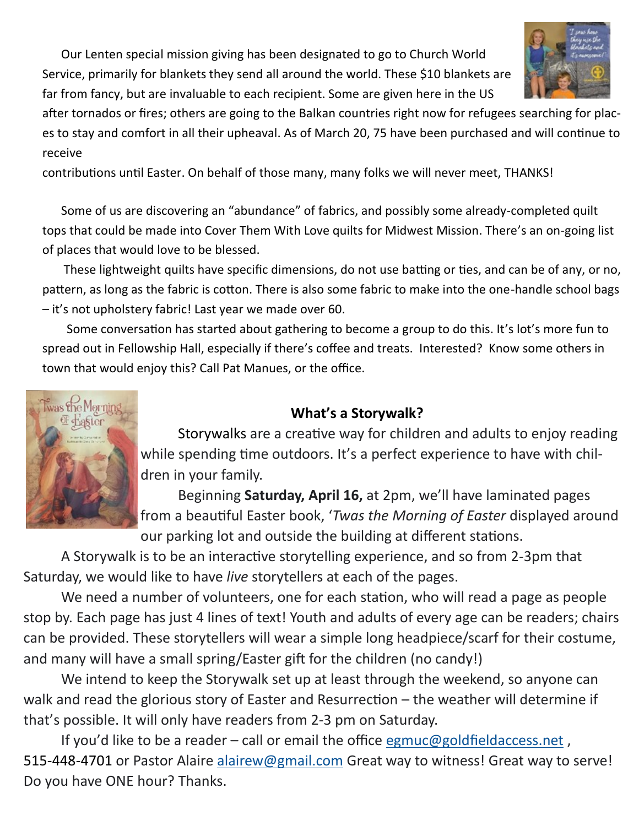Our Lenten special mission giving has been designated to go to Church World Service, primarily for blankets they send all around the world. These \$10 blankets are far from fancy, but are invaluable to each recipient. Some are given here in the US



after tornados or fires; others are going to the Balkan countries right now for refugees searching for places to stay and comfort in all their upheaval. As of March 20, 75 have been purchased and will continue to receive

contributions until Easter. On behalf of those many, many folks we will never meet, THANKS!

Some of us are discovering an "abundance" of fabrics, and possibly some already-completed quilt tops that could be made into Cover Them With Love quilts for Midwest Mission. There's an on-going list of places that would love to be blessed.

 These lightweight quilts have specific dimensions, do not use batting or ties, and can be of any, or no, pattern, as long as the fabric is cotton. There is also some fabric to make into the one-handle school bags – it's not upholstery fabric! Last year we made over 60.

 Some conversation has started about gathering to become a group to do this. It's lot's more fun to spread out in Fellowship Hall, especially if there's coffee and treats. Interested? Know some others in town that would enjoy this? Call Pat Manues, or the office.

### **What's a Storywalk?**

Storywalks are a creative way for children and adults to enjoy reading while spending time outdoors. It's a perfect experience to have with children in your family.

Beginning **Saturday, April 16,** at 2pm, we'll have laminated pages from a beautiful Easter book, '*Twas the Morning of Easter* displayed around our parking lot and outside the building at different stations.

A Storywalk is to be an interactive storytelling experience, and so from 2-3pm that Saturday, we would like to have *live* storytellers at each of the pages.

We need a number of volunteers, one for each station, who will read a page as people stop by. Each page has just 4 lines of text! Youth and adults of every age can be readers; chairs can be provided. These storytellers will wear a simple long headpiece/scarf for their costume, and many will have a small spring/Easter gift for the children (no candy!)

We intend to keep the Storywalk set up at least through the weekend, so anyone can walk and read the glorious story of Easter and Resurrection – the weather will determine if that's possible. It will only have readers from 2-3 pm on Saturday.

If you'd like to be a reader – call or email the office [egmuc@goldfieldaccess.net](mailto:egmuc@goldfieldaccess.net) , 515-448-4701 or Pastor Alaire [alairew@gmail.com](mailto:alairew@gmail.com) Great way to witness! Great way to serve! Do you have ONE hour? Thanks.

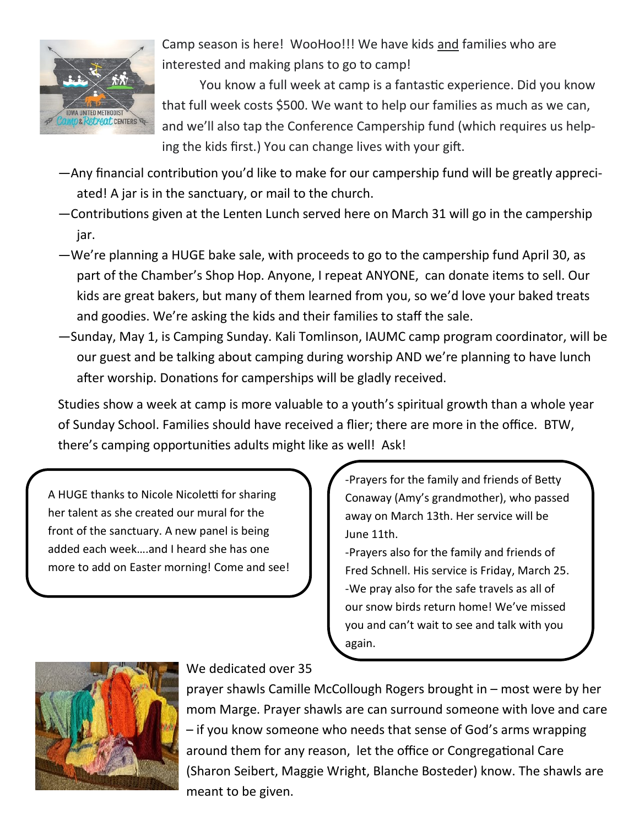

Camp season is here! WooHoo!!! We have kids and families who are interested and making plans to go to camp!

You know a full week at camp is a fantastic experience. Did you know that full week costs \$500. We want to help our families as much as we can, and we'll also tap the Conference Campership fund (which requires us helping the kids first.) You can change lives with your gift.

- —Any financial contribution you'd like to make for our campership fund will be greatly appreciated! A jar is in the sanctuary, or mail to the church.
- —Contributions given at the Lenten Lunch served here on March 31 will go in the campership jar.
- —We're planning a HUGE bake sale, with proceeds to go to the campership fund April 30, as part of the Chamber's Shop Hop. Anyone, I repeat ANYONE, can donate items to sell. Our kids are great bakers, but many of them learned from you, so we'd love your baked treats and goodies. We're asking the kids and their families to staff the sale.
- —Sunday, May 1, is Camping Sunday. Kali Tomlinson, IAUMC camp program coordinator, will be our guest and be talking about camping during worship AND we're planning to have lunch after worship. Donations for camperships will be gladly received.

Studies show a week at camp is more valuable to a youth's spiritual growth than a whole year of Sunday School. Families should have received a flier; there are more in the office. BTW, there's camping opportunities adults might like as well! Ask!

A HUGE thanks to Nicole Nicoletti for sharing her talent as she created our mural for the front of the sanctuary. A new panel is being added each week….and I heard she has one more to add on Easter morning! Come and see! -Prayers for the family and friends of Betty Conaway (Amy's grandmother), who passed away on March 13th. Her service will be June 11th.

-Prayers also for the family and friends of Fred Schnell. His service is Friday, March 25. -We pray also for the safe travels as all of our snow birds return home! We've missed you and can't wait to see and talk with you again.



We dedicated over 35

prayer shawls Camille McCollough Rogers brought in – most were by her mom Marge. Prayer shawls are can surround someone with love and care – if you know someone who needs that sense of God's arms wrapping around them for any reason, let the office or Congregational Care (Sharon Seibert, Maggie Wright, Blanche Bosteder) know. The shawls are meant to be given.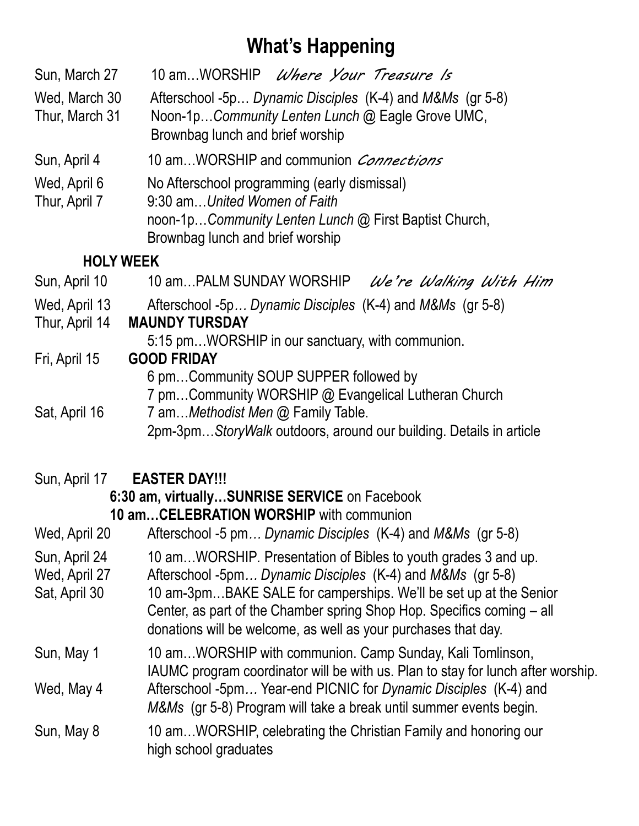## **What's Happening**

| Sun, March 27                   | 10 amWORSHIP <i>Where Your Treasure Is</i>                                                                                                                                |  |  |  |  |
|---------------------------------|---------------------------------------------------------------------------------------------------------------------------------------------------------------------------|--|--|--|--|
| Wed, March 30<br>Thur, March 31 | Afterschool -5p Dynamic Disciples (K-4) and M&Ms (gr 5-8)<br>Noon-1pCommunity Lenten Lunch @ Eagle Grove UMC,                                                             |  |  |  |  |
|                                 | Brownbag lunch and brief worship                                                                                                                                          |  |  |  |  |
| Sun, April 4                    | 10 amWORSHIP and communion <i>Connections</i>                                                                                                                             |  |  |  |  |
| Wed, April 6<br>Thur, April 7   | No Afterschool programming (early dismissal)<br>9:30 amUnited Women of Faith<br>noon-1pCommunity Lenten Lunch @ First Baptist Church,<br>Brownbag lunch and brief worship |  |  |  |  |
| <b>HOLY WEEK</b>                |                                                                                                                                                                           |  |  |  |  |
| Sun, April 10                   | 10 amPALM SUNDAY WORSHIP<br>We're Walking With Him                                                                                                                        |  |  |  |  |
| Wed, April 13<br>Thur, April 14 | Afterschool -5p Dynamic Disciples (K-4) and M&Ms (gr 5-8)<br><b>MAUNDY TURSDAY</b>                                                                                        |  |  |  |  |
|                                 | 5:15 pmWORSHIP in our sanctuary, with communion.                                                                                                                          |  |  |  |  |
| Fri, April 15                   | <b>GOOD FRIDAY</b>                                                                                                                                                        |  |  |  |  |
|                                 | 6 pmCommunity SOUP SUPPER followed by                                                                                                                                     |  |  |  |  |

7 pm…Community WORSHIP @ Evangelical Lutheran Church Sat, April 16 7 am…*Methodist Men* @ Family Table. 2pm-3pm…*StoryWalk* outdoors, around our building. Details in article

### Sun, April 17 **EASTER DAY!!!**

#### **6:30 am, virtually…SUNRISE SERVICE** on Facebook **10 am…CELEBRATION WORSHIP** with communion

| Wed, April 20 | Afterschool -5 pm Dynamic Disciples (K-4) and M&Ms (gr 5-8) |  |  |
|---------------|-------------------------------------------------------------|--|--|
|               |                                                             |  |  |

- Sun, April 24 10 am…WORSHIP*.* Presentation of Bibles to youth grades 3 and up.
- Wed, April 27 Afterschool -5pm... Dynamic Disciples (K-4) and M&Ms (gr 5-8)
- Sat, April 30 10 am-3pm...BAKE SALE for camperships. We'll be set up at the Senior Center, as part of the Chamber spring Shop Hop. Specifics coming – all donations will be welcome, as well as your purchases that day.
- Sun, May 1 10 am...WORSHIP with communion. Camp Sunday, Kali Tomlinson, IAUMC program coordinator will be with us. Plan to stay for lunch after worship.
- Wed, May 4 Afterschool -5pm*…* Year-end PICNIC for *Dynamic Disciples* (K-4) and *M&Ms* (gr 5-8) Program will take a break until summer events begin.
- Sun, May 8 10 am...WORSHIP, celebrating the Christian Family and honoring our high school graduates